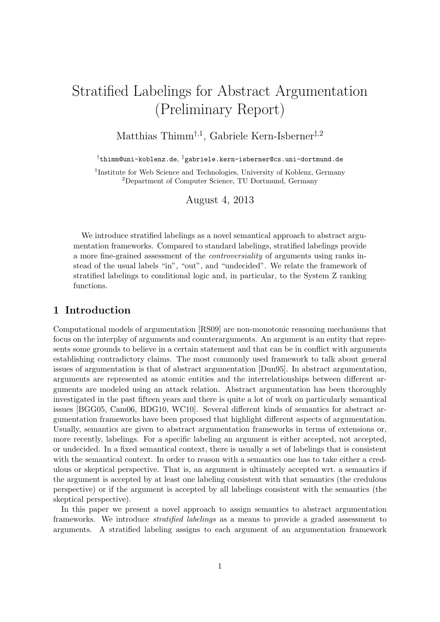# Stratified Labelings for Abstract Argumentation (Preliminary Report)

Matthias Thimm<sup>†,1</sup>, Gabriele Kern-Isberner<sup>‡,2</sup>

†thimm@uni-koblenz.de, ‡gabriele.kern-isberner@cs.uni-dortmund.de

<sup>1</sup>Institute for Web Science and Technologies, University of Koblenz, Germany <sup>2</sup>Department of Computer Science, TU Dortmund, Germany

August 4, 2013

We introduce stratified labelings as a novel semantical approach to abstract argumentation frameworks. Compared to standard labelings, stratified labelings provide a more fine-grained assessment of the controversiality of arguments using ranks instead of the usual labels "in", "out", and "undecided". We relate the framework of stratified labelings to conditional logic and, in particular, to the System Z ranking functions.

## 1 Introduction

Computational models of argumentation [RS09] are non-monotonic reasoning mechanisms that focus on the interplay of arguments and counterarguments. An argument is an entity that represents some grounds to believe in a certain statement and that can be in conflict with arguments establishing contradictory claims. The most commonly used framework to talk about general issues of argumentation is that of abstract argumentation [Dun95]. In abstract argumentation, arguments are represented as atomic entities and the interrelationships between different arguments are modeled using an attack relation. Abstract argumentation has been thoroughly investigated in the past fifteen years and there is quite a lot of work on particularly semantical issues [BGG05, Cam06, BDG10, WC10]. Several different kinds of semantics for abstract argumentation frameworks have been proposed that highlight different aspects of argumentation. Usually, semantics are given to abstract argumentation frameworks in terms of extensions or, more recently, labelings. For a specific labeling an argument is either accepted, not accepted, or undecided. In a fixed semantical context, there is usually a set of labelings that is consistent with the semantical context. In order to reason with a semantics one has to take either a credulous or skeptical perspective. That is, an argument is ultimately accepted wrt. a semantics if the argument is accepted by at least one labeling consistent with that semantics (the credulous perspective) or if the argument is accepted by all labelings consistent with the semantics (the skeptical perspective).

In this paper we present a novel approach to assign semantics to abstract argumentation frameworks. We introduce stratified labelings as a means to provide a graded assessment to arguments. A stratified labeling assigns to each argument of an argumentation framework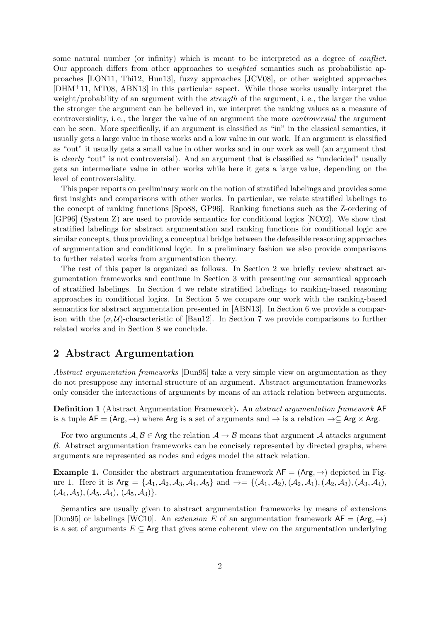some natural number (or infinity) which is meant to be interpreted as a degree of conflict. Our approach differs from other approaches to weighted semantics such as probabilistic approaches [LON11, Thi12, Hun13], fuzzy approaches [JCV08], or other weighted approaches [DHM+11, MT08, ABN13] in this particular aspect. While those works usually interpret the weight/probability of an argument with the *strength* of the argument, i.e., the larger the value the stronger the argument can be believed in, we interpret the ranking values as a measure of controversiality, i. e., the larger the value of an argument the more controversial the argument can be seen. More specifically, if an argument is classified as "in" in the classical semantics, it usually gets a large value in those works and a low value in our work. If an argument is classified as "out" it usually gets a small value in other works and in our work as well (an argument that is *clearly* "out" is not controversial). And an argument that is classified as "undecided" usually gets an intermediate value in other works while here it gets a large value, depending on the level of controversiality.

This paper reports on preliminary work on the notion of stratified labelings and provides some first insights and comparisons with other works. In particular, we relate stratified labelings to the concept of ranking functions [Spo88, GP96]. Ranking functions such as the Z-ordering of [GP96] (System Z) are used to provide semantics for conditional logics [NC02]. We show that stratified labelings for abstract argumentation and ranking functions for conditional logic are similar concepts, thus providing a conceptual bridge between the defeasible reasoning approaches of argumentation and conditional logic. In a preliminary fashion we also provide comparisons to further related works from argumentation theory.

The rest of this paper is organized as follows. In Section 2 we briefly review abstract argumentation frameworks and continue in Section 3 with presenting our semantical approach of stratified labelings. In Section 4 we relate stratified labelings to ranking-based reasoning approaches in conditional logics. In Section 5 we compare our work with the ranking-based semantics for abstract argumentation presented in [ABN13]. In Section 6 we provide a comparison with the  $(\sigma, \mathcal{U})$ -characteristic of [Bau12]. In Section 7 we provide comparisons to further related works and in Section 8 we conclude.

## 2 Abstract Argumentation

Abstract argumentation frameworks [Dun95] take a very simple view on argumentation as they do not presuppose any internal structure of an argument. Abstract argumentation frameworks only consider the interactions of arguments by means of an attack relation between arguments.

Definition 1 (Abstract Argumentation Framework). An abstract argumentation framework AF is a tuple  $AF = (Arg, \rightarrow)$  where Arg is a set of arguments and  $\rightarrow$  is a relation  $\rightarrow \subseteq$  Arg  $\times$  Arg.

For two arguments  $\mathcal{A}, \mathcal{B} \in \mathsf{Arg}$  the relation  $\mathcal{A} \to \mathcal{B}$  means that argument  $\mathcal{A}$  attacks argument  $\beta$ . Abstract argumentation frameworks can be concisely represented by directed graphs, where arguments are represented as nodes and edges model the attack relation.

**Example 1.** Consider the abstract argumentation framework  $AF = (Arg, \rightarrow)$  depicted in Figure 1. Here it is  $Arg = \{A_1, A_2, A_3, A_4, A_5\}$  and  $\rightarrow = \{(\mathcal{A}_1, \mathcal{A}_2), (\mathcal{A}_2, \mathcal{A}_1), (\mathcal{A}_2, \mathcal{A}_3), (\mathcal{A}_3, \mathcal{A}_4),$  $({\cal A}_4, {\cal A}_5), ({\cal A}_5, {\cal A}_4), ({\cal A}_5, {\cal A}_3) \}.$ 

Semantics are usually given to abstract argumentation frameworks by means of extensions [Dun95] or labelings [WC10]. An extension E of an argumentation framework  $AF = (Arg, \rightarrow)$ is a set of arguments  $E \subseteq \mathsf{Arg}$  that gives some coherent view on the argumentation underlying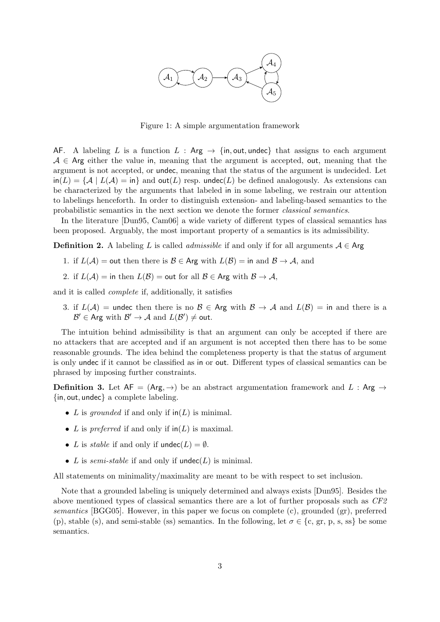

Figure 1: A simple argumentation framework

AF. A labeling L is a function  $L : Arg \rightarrow \{in, out, undec\}$  that assigns to each argument  $A \in \text{Arg}$  either the value in, meaning that the argument is accepted, out, meaning that the argument is not accepted, or undec, meaning that the status of the argument is undecided. Let  $\text{in}(L) = \{A \mid L(A) = \text{in}\}\$ and out $(L)$  resp. undec $(L)$  be defined analogously. As extensions can be characterized by the arguments that labeled in in some labeling, we restrain our attention to labelings henceforth. In order to distinguish extension- and labeling-based semantics to the probabilistic semantics in the next section we denote the former classical semantics.

In the literature [Dun95, Cam06] a wide variety of different types of classical semantics has been proposed. Arguably, the most important property of a semantics is its admissibility.

**Definition 2.** A labeling L is called *admissible* if and only if for all arguments  $A \in \mathsf{Arg}$ 

- 1. if  $L(\mathcal{A}) =$  out then there is  $\mathcal{B} \in \mathsf{Arg}$  with  $L(\mathcal{B}) = \text{in}$  and  $\mathcal{B} \to \mathcal{A}$ , and
- 2. if  $L(\mathcal{A}) = \text{in then } L(\mathcal{B}) = \text{out for all } \mathcal{B} \in \mathsf{Arg}$  with  $\mathcal{B} \to \mathcal{A}$ ,

and it is called complete if, additionally, it satisfies

3. if  $L(\mathcal{A})$  = undec then there is no  $\mathcal{B} \in \mathsf{Arg}$  with  $\mathcal{B} \to \mathcal{A}$  and  $L(\mathcal{B})$  = in and there is a  $\mathcal{B}' \in \mathsf{Arg}$  with  $\mathcal{B}' \to \mathcal{A}$  and  $L(\mathcal{B}') \neq \mathsf{out}$ .

The intuition behind admissibility is that an argument can only be accepted if there are no attackers that are accepted and if an argument is not accepted then there has to be some reasonable grounds. The idea behind the completeness property is that the status of argument is only undec if it cannot be classified as in or out. Different types of classical semantics can be phrased by imposing further constraints.

**Definition 3.** Let  $AF = (Arg, \rightarrow)$  be an abstract argumentation framework and L : Arg  $\rightarrow$ {in, out, undec} a complete labeling.

- L is grounded if and only if  $\text{in}(L)$  is minimal.
- L is preferred if and only if  $\text{in}(L)$  is maximal.
- L is *stable* if and only if  $undec(L) = \emptyset$ .
- L is semi-stable if and only if  $undec(L)$  is minimal.

All statements on minimality/maximality are meant to be with respect to set inclusion.

Note that a grounded labeling is uniquely determined and always exists [Dun95]. Besides the above mentioned types of classical semantics there are a lot of further proposals such as CF2 semantics [BGG05]. However, in this paper we focus on complete (c), grounded (gr), preferred (p), stable (s), and semi-stable (ss) semantics. In the following, let  $\sigma \in \{\text{c}, \text{gr}, \text{p}, \text{s}, \text{ss}\}\$ be some semantics.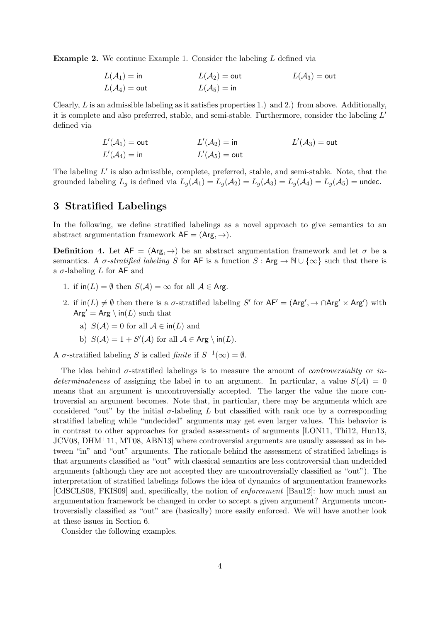Example 2. We continue Example 1. Consider the labeling L defined via

$$
L(\mathcal{A}_1) = \text{in} \qquad L(\mathcal{A}_2) = \text{out} \qquad L(\mathcal{A}_3) = \text{out}
$$
  

$$
L(\mathcal{A}_4) = \text{out} \qquad L(\mathcal{A}_5) = \text{in} \qquad L(\mathcal{A}_6) = \text{out}
$$

Clearly,  $L$  is an admissible labeling as it satisfies properties 1.) and 2.) from above. Additionally, it is complete and also preferred, stable, and semi-stable. Furthermore, consider the labeling  $L'$ defined via

$$
L'(\mathcal{A}_1) = \text{out}
$$
  
\n
$$
L'(\mathcal{A}_2) = \text{in}
$$
  
\n
$$
L'(\mathcal{A}_3) = \text{out}
$$
  
\n
$$
L'(\mathcal{A}_4) = \text{in}
$$
  
\n
$$
L'(\mathcal{A}_5) = \text{out}
$$
  
\n
$$
L'(\mathcal{A}_6) = \text{out}
$$

The labeling  $L'$  is also admissible, complete, preferred, stable, and semi-stable. Note, that the grounded labeling  $L_g$  is defined via  $L_g(\mathcal{A}_1) = L_g(\mathcal{A}_2) = L_g(\mathcal{A}_3) = L_g(\mathcal{A}_4) = L_g(\mathcal{A}_5) = \text{undec.}$ 

## 3 Stratified Labelings

In the following, we define stratified labelings as a novel approach to give semantics to an abstract argumentation framework  $AF = (Arg, \rightarrow)$ .

**Definition 4.** Let  $AF = (Arg, \rightarrow)$  be an abstract argumentation framework and let  $\sigma$  be a semantics. A  $\sigma$ -stratified labeling S for AF is a function S : Arg  $\rightarrow$  N  $\cup$  { $\infty$ } such that there is a  $\sigma$ -labeling L for AF and

- 1. if  $\text{in}(L) = \emptyset$  then  $S(\mathcal{A}) = \infty$  for all  $\mathcal{A} \in \text{Arg}$ .
- 2. if  $\text{in}(L) \neq \emptyset$  then there is a  $\sigma$ -stratified labeling S' for  $AF' = (Arg', \rightarrow \cap Arg' \times Arg')$  with  $Arg' = Arg \setminus in(L)$  such that
	- a)  $S(\mathcal{A}) = 0$  for all  $\mathcal{A} \in \text{in}(L)$  and
	- b)  $S(\mathcal{A}) = 1 + S'(\mathcal{A})$  for all  $\mathcal{A} \in \mathsf{Arg} \setminus \mathsf{in}(L)$ .

A  $\sigma$ -stratified labeling S is called finite if  $S^{-1}(\infty) = \emptyset$ .

The idea behind  $\sigma$ -stratified labelings is to measure the amount of *controversiality* or *in*determinateness of assigning the label in to an argument. In particular, a value  $S(\mathcal{A}) = 0$ means that an argument is uncontroversially accepted. The larger the value the more controversial an argument becomes. Note that, in particular, there may be arguments which are considered "out" by the initial  $\sigma$ -labeling L but classified with rank one by a corresponding stratified labeling while "undecided" arguments may get even larger values. This behavior is in contrast to other approaches for graded assessments of arguments [LON11, Thi12, Hun13, JCV08, DHM+11, MT08, ABN13] where controversial arguments are usually assessed as in between "in" and "out" arguments. The rationale behind the assessment of stratified labelings is that arguments classified as "out" with classical semantics are less controversial than undecided arguments (although they are not accepted they are uncontroversially classified as "out"). The interpretation of stratified labelings follows the idea of dynamics of argumentation frameworks [CdSCLS08, FKIS09] and, specifically, the notion of enforcement [Bau12]: how much must an argumentation framework be changed in order to accept a given argument? Arguments uncontroversially classified as "out" are (basically) more easily enforced. We will have another look at these issues in Section 6.

Consider the following examples.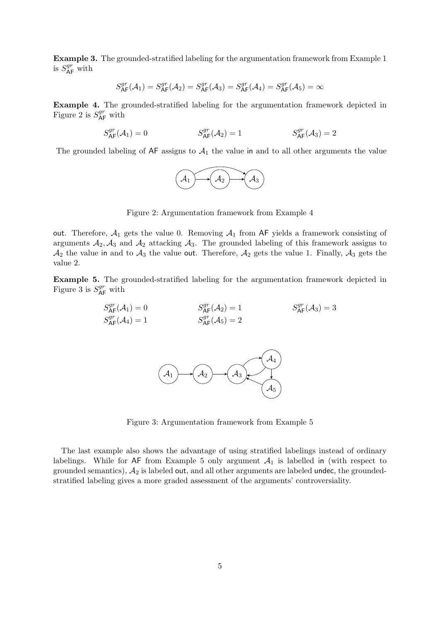Example 3. The grounded-stratified labeling for the argumentation framework from Example 1 is  $S_{\sf AF}^{gr}$  with

$$
S_{\mathsf{AF}}^{gr}(\mathcal{A}_1) = S_{\mathsf{AF}}^{gr}(\mathcal{A}_2) = S_{\mathsf{AF}}^{gr}(\mathcal{A}_3) = S_{\mathsf{AF}}^{gr}(\mathcal{A}_4) = S_{\mathsf{AF}}^{gr}(\mathcal{A}_5) = \infty
$$

Example 4. The grounded-stratified labeling for the argumentation framework depicted in Figure 2 is  $S_{\mathsf{AF}}^{gr}$  with

$$
S^{gr}_{\mathsf{AF}}(\mathcal{A}_1) = 0 \qquad \qquad S^{gr}_{\mathsf{AF}}(\mathcal{A}_2) = 1 \qquad \qquad S^{gr}_{\mathsf{AF}}(\mathcal{A}_3) = 2
$$

The grounded labeling of  $AF$  assigns to  $A_1$  the value in and to all other arguments the value



Figure 2: Argumentation framework from Example 4

out. Therefore,  $A_1$  gets the value 0. Removing  $A_1$  from AF yields a framework consisting of arguments  $A_2$ ,  $A_3$  and  $A_2$  attacking  $A_3$ . The grounded labeling of this framework assigns to  $\mathcal{A}_2$  the value in and to  $\mathcal{A}_3$  the value out. Therefore,  $\mathcal{A}_2$  gets the value 1. Finally,  $\mathcal{A}_3$  gets the value 2.

Example 5. The grounded-stratified labeling for the argumentation framework depicted in Figure 3 is  $S_{\sf AF}^{gr}$  with

$$
S_{\mathsf{AF}}^{gr}(\mathcal{A}_1) = 0
$$
  
\n
$$
S_{\mathsf{AF}}^{gr}(\mathcal{A}_2) = 1
$$
  
\n
$$
S_{\mathsf{AF}}^{gr}(\mathcal{A}_3) = 3
$$
  
\n
$$
S_{\mathsf{AF}}^{gr}(\mathcal{A}_4) = 1
$$
  
\n
$$
S_{\mathsf{AF}}^{gr}(\mathcal{A}_5) = 2
$$



Figure 3: Argumentation framework from Example 5

The last example also shows the advantage of using stratified labelings instead of ordinary labelings. While for  $AF$  from Example 5 only argument  $A_1$  is labelled in (with respect to grounded semantics),  $A_2$  is labeled out, and all other arguments are labeled undec, the groundedstratified labeling gives a more graded assessment of the arguments' controversiality.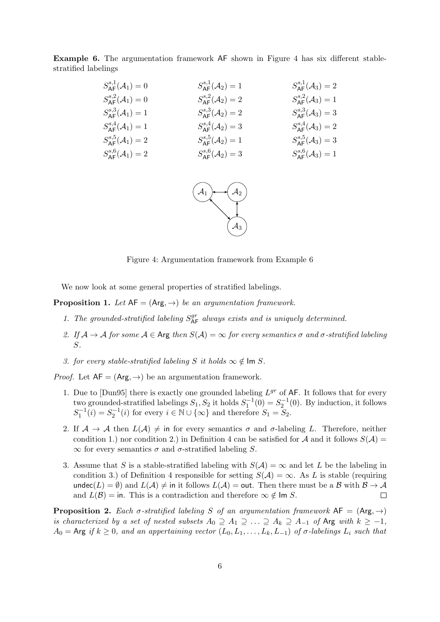Example 6. The argumentation framework AF shown in Figure 4 has six different stablestratified labelings

| $S_{\Delta \mathsf{F}}^{s,1}(\mathcal{A}_1)=0$ | $S_{\Delta \mathsf{F}}^{s,1}(\mathcal{A}_2)=1$ | $S_{\text{AF}}^{s,1}(\mathcal{A}_3)=2$         |
|------------------------------------------------|------------------------------------------------|------------------------------------------------|
| $S_{\text{AE}}^{s,2}(\mathcal{A}_1)=0$         | $S_{\text{AE}}^{s,2}(\mathcal{A}_2)=2$         | $S_{\Delta \mathsf{F}}^{s,2}(\mathcal{A}_3)=1$ |
| $S_{\text{AE}}^{s,3}(\mathcal{A}_1)=1$         | $S_{\text{AE}}^{s,3}(\mathcal{A}_2)=2$         | $S_{\Delta \mathsf{F}}^{s,3}(\mathcal{A}_3)=3$ |
| $S_{\Delta \mathsf{F}}^{s,4}(\mathcal{A}_1)=1$ | $S_{\text{AF}}^{s,4}(\mathcal{A}_2)=3$         | $S_{\text{AF}}^{s,4}(\mathcal{A}_3)=2$         |
| $S_{\text{AE}}^{s,5}(\mathcal{A}_1)=2$         | $S_{\Delta \mathsf{F}}^{s,5}(\mathcal{A}_2)=1$ | $S_{\Delta \mathsf{F}}^{s,5}(\mathcal{A}_3)=3$ |
| $S_{\text{AE}}^{s,6}(\mathcal{A}_1)=2$         | $S_{\text{AE}}^{s,6}(\mathcal{A}_2)=3$         | $S_{\Delta \mathsf{F}}^{s,6}(\mathcal{A}_3)=1$ |



Figure 4: Argumentation framework from Example 6

We now look at some general properties of stratified labelings.

**Proposition 1.** Let  $AF = (Arg, \rightarrow)$  be an argumentation framework.

- 1. The grounded-stratified labeling  $S_{\mathsf{AF}}^{gr}$  always exists and is uniquely determined.
- 2. If  $A \to A$  for some  $A \in \text{Arg}$  then  $S(A) = \infty$  for every semantics  $\sigma$  and  $\sigma$ -stratified labeling S.
- 3. for every stable-stratified labeling S it holds  $\infty \notin \text{Im } S$ .

*Proof.* Let  $AF = (Arg, \rightarrow)$  be an argumentation framework.

- 1. Due to  $\text{[Dun95]}$  there is exactly one grounded labeling  $L^{gr}$  of AF. It follows that for every two grounded-stratified labelings  $S_1, S_2$  it holds  $S_1^{-1}(0) = S_2^{-1}(0)$ . By induction, it follows  $S_1^{-1}(i) = S_2^{-1}(i)$  for every  $i \in \mathbb{N} \cup \{\infty\}$  and therefore  $S_1 = S_2$ .
- 2. If  $\mathcal{A} \to \mathcal{A}$  then  $L(\mathcal{A}) \neq \emptyset$  in for every semantics  $\sigma$  and  $\sigma$ -labeling L. Therefore, neither condition 1.) nor condition 2.) in Definition 4 can be satisfied for A and it follows  $S(\mathcal{A}) =$  $\infty$  for every semantics  $\sigma$  and  $\sigma$ -stratified labeling S.
- 3. Assume that S is a stable-stratified labeling with  $S(\mathcal{A}) = \infty$  and let L be the labeling in condition 3.) of Definition 4 responsible for setting  $S(\mathcal{A}) = \infty$ . As L is stable (requiring undec(L) =  $\emptyset$ ) and  $L(\mathcal{A}) \neq \emptyset$  in it follows  $L(\mathcal{A}) = \emptyset$  and there must be a B with  $\mathcal{B} \to \mathcal{A}$ and  $L(\mathcal{B}) = \text{in}$ . This is a contradiction and therefore  $\infty \notin \text{Im } S$ .  $\Box$

**Proposition 2.** Each  $\sigma$ -stratified labeling S of an argumentation framework  $AF = (Arg, \rightarrow)$ is characterized by a set of nested subsets  $A_0 \supseteq A_1 \supseteq \ldots \supseteq A_k \supseteq A_{-1}$  of Arg with  $k \geq -1$ ,  $A_0 = \text{Arg } if k \geq 0, \text{ and an appearing vector } (L_0, L_1, \ldots, L_k, L_{-1}) \text{ of } \sigma\text{-labelings } L_i \text{ such that }$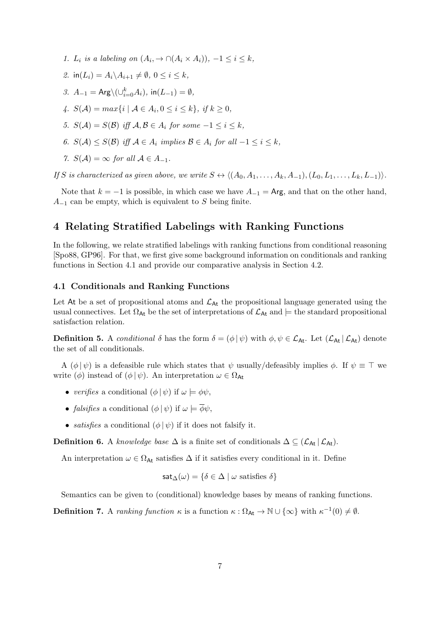- 1.  $L_i$  is a labeling on  $(A_i, \rightarrow \cap (A_i \times A_i)), -1 \leq i \leq k$ ,
- 2. in( $L_i$ ) =  $A_i \setminus A_{i+1} \neq \emptyset$ ,  $0 \leq i \leq k$ ,
- 3.  $A_{-1} = \text{Arg} \setminus (\cup_{i=0}^k A_i), \text{ in}(L_{-1}) = \emptyset,$
- 4.  $S(\mathcal{A}) = max\{i \mid \mathcal{A} \in A_i, 0 \le i \le k\}, \text{ if } k \ge 0,$
- 5.  $S(\mathcal{A}) = S(\mathcal{B})$  iff  $\mathcal{A}, \mathcal{B} \in A_i$  for some  $-1 \leq i \leq k$ ,
- 6.  $S(\mathcal{A}) \leq S(\mathcal{B})$  iff  $\mathcal{A} \in A_i$  implies  $\mathcal{B} \in A_i$  for all  $-1 \leq i \leq k$ ,

7.  $S(A) = \infty$  for all  $A \in A_{-1}$ .

If S is characterized as given above, we write  $S \leftrightarrow \langle (A_0, A_1, \ldots, A_k, A_{-1}), (L_0, L_1, \ldots, L_k, L_{-1}) \rangle$ .

Note that  $k = -1$  is possible, in which case we have  $A_{-1} = \text{Arg}$ , and that on the other hand,  $A_{-1}$  can be empty, which is equivalent to S being finite.

## 4 Relating Stratified Labelings with Ranking Functions

In the following, we relate stratified labelings with ranking functions from conditional reasoning [Spo88, GP96]. For that, we first give some background information on conditionals and ranking functions in Section 4.1 and provide our comparative analysis in Section 4.2.

#### 4.1 Conditionals and Ranking Functions

Let At be a set of propositional atoms and  $\mathcal{L}_{\text{At}}$  the propositional language generated using the usual connectives. Let  $\Omega_{\text{At}}$  be the set of interpretations of  $\mathcal{L}_{\text{At}}$  and  $\models$  the standard propositional satisfaction relation.

**Definition 5.** A conditional  $\delta$  has the form  $\delta = (\phi | \psi)$  with  $\phi, \psi \in \mathcal{L}_{\mathsf{At}}$ . Let  $(\mathcal{L}_{\mathsf{At}} | \mathcal{L}_{\mathsf{At}})$  denote the set of all conditionals.

A  $(\phi | \psi)$  is a defeasible rule which states that  $\psi$  usually/defeasibly implies  $\phi$ . If  $\psi \equiv \top$  we write  $(\phi)$  instead of  $(\phi | \psi)$ . An interpretation  $\omega \in \Omega_{\mathsf{At}}$ 

- verifies a conditional  $(\phi | \psi)$  if  $\omega \models \phi \psi$ ,
- *falsifies* a conditional  $(\phi | \psi)$  if  $\omega \models \overline{\phi}\psi$ .
- satisfies a conditional  $(\phi | \psi)$  if it does not falsify it.

Definition 6. A knowledge base  $\Delta$  is a finite set of conditionals  $\Delta \subseteq (\mathcal{L}_{\mathsf{At}} | \mathcal{L}_{\mathsf{At}})$ .

An interpretation  $\omega \in \Omega_{\text{At}}$  satisfies  $\Delta$  if it satisfies every conditional in it. Define

$$
\mathsf{sat}_{\Delta}(\omega) = \{ \delta \in \Delta \mid \omega \text{ satisfies } \delta \}
$$

Semantics can be given to (conditional) knowledge bases by means of ranking functions.

**Definition 7.** A ranking function  $\kappa$  is a function  $\kappa : \Omega_{\mathsf{At}} \to \mathbb{N} \cup \{\infty\}$  with  $\kappa^{-1}(0) \neq \emptyset$ .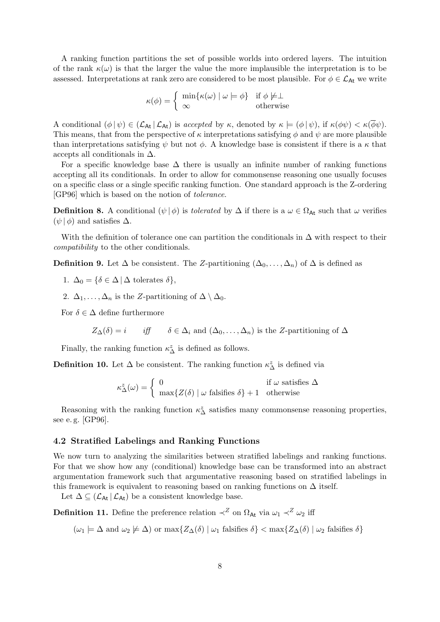A ranking function partitions the set of possible worlds into ordered layers. The intuition of the rank  $\kappa(\omega)$  is that the larger the value the more implausible the interpretation is to be assessed. Interpretations at rank zero are considered to be most plausible. For  $\phi \in \mathcal{L}_{\mathsf{At}}$  we write

$$
\kappa(\phi) = \begin{cases} \min\{\kappa(\omega) \mid \omega \models \phi\} & \text{if } \phi \not\models \perp \\ \infty & \text{otherwise} \end{cases}
$$

A conditional  $(\phi | \psi) \in (\mathcal{L}_{\mathsf{At}} | \mathcal{L}_{\mathsf{At}})$  is accepted by  $\kappa$ , denoted by  $\kappa \models (\phi | \psi)$ , if  $\kappa(\phi \psi) < \kappa(\overline{\phi}\psi)$ . This means, that from the perspective of  $\kappa$  interpretations satisfying  $\phi$  and  $\psi$  are more plausible than interpretations satisfying  $\psi$  but not  $\phi$ . A knowledge base is consistent if there is a  $\kappa$  that accepts all conditionals in  $\Delta$ .

For a specific knowledge base  $\Delta$  there is usually an infinite number of ranking functions accepting all its conditionals. In order to allow for commonsense reasoning one usually focuses on a specific class or a single specific ranking function. One standard approach is the Z-ordering [GP96] which is based on the notion of tolerance.

**Definition 8.** A conditional  $(\psi | \phi)$  is *tolerated* by  $\Delta$  if there is a  $\omega \in \Omega_{\text{At}}$  such that  $\omega$  verifies  $(\psi | \phi)$  and satisfies  $\Delta$ .

With the definition of tolerance one can partition the conditionals in  $\Delta$  with respect to their compatibility to the other conditionals.

**Definition 9.** Let  $\Delta$  be consistent. The Z-partitioning  $(\Delta_0, \ldots, \Delta_n)$  of  $\Delta$  is defined as

1.  $\Delta_0 = {\delta \in \Delta \mid \Delta \text{ tolerates } \delta},$ 

2.  $\Delta_1, \ldots, \Delta_n$  is the Z-partitioning of  $\Delta \setminus \Delta_0$ .

For  $\delta \in \Delta$  define furthermore

$$
Z_{\Delta}(\delta) = i
$$
 iff  $\delta \in \Delta_i$  and  $(\Delta_0, \ldots, \Delta_n)$  is the Z-partitioning of  $\Delta$ 

Finally, the ranking function  $\kappa_\Delta^z$  is defined as follows.

**Definition 10.** Let  $\Delta$  be consistent. The ranking function  $\kappa^z_{\Delta}$  is defined via

$$
\kappa_{\Delta}^{z}(\omega) = \begin{cases} 0 & \text{if } \omega \text{ satisfies } \Delta \\ \max\{Z(\delta) \mid \omega \text{ falsifies } \delta\} + 1 & \text{otherwise} \end{cases}
$$

Reasoning with the ranking function  $\kappa_{\Delta}^z$  satisfies many commonsense reasoning properties, see e. g. [GP96].

#### 4.2 Stratified Labelings and Ranking Functions

We now turn to analyzing the similarities between stratified labelings and ranking functions. For that we show how any (conditional) knowledge base can be transformed into an abstract argumentation framework such that argumentative reasoning based on stratified labelings in this framework is equivalent to reasoning based on ranking functions on  $\Delta$  itself.

Let  $\Delta \subseteq (\mathcal{L}_{\mathsf{At}} | \mathcal{L}_{\mathsf{At}})$  be a consistent knowledge base.

**Definition 11.** Define the preference relation  $\prec^Z$  on  $\Omega_{\text{At}}$  via  $\omega_1 \prec^Z \omega_2$  iff

 $(\omega_1 \models \Delta \text{ and } \omega_2 \not\models \Delta) \text{ or } \max\{Z_{\Delta}(\delta) \mid \omega_1 \text{ falsifies } \delta\} < \max\{Z_{\Delta}(\delta) \mid \omega_2 \text{ falsifies } \delta\}$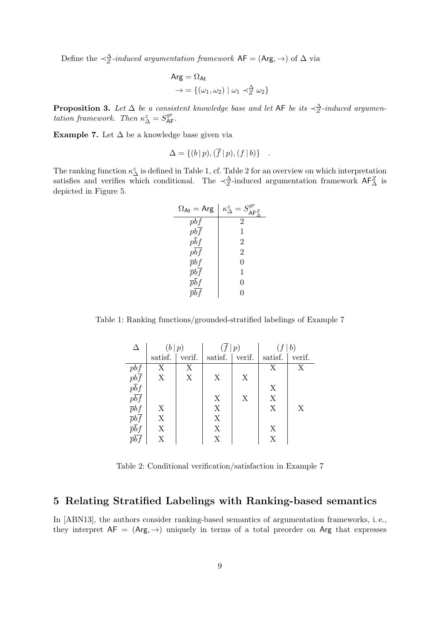Define the  $\prec_Z^{\Delta}$ -induced argumentation framework  $AF = (Arg, \rightarrow)$  of  $\Delta$  via

$$
Arg = \Omega_{At}
$$
  
\n
$$
\rightarrow = \{(\omega_1, \omega_2) \mid \omega_1 \prec_{Z}^{\Delta} \omega_2\}
$$

**Proposition 3.** Let  $\Delta$  be a consistent knowledge base and let AF be its  $\prec_{Z}^{\Delta}$ -induced argumentation framework. Then  $\kappa_{\Delta}^z = S_{\mathsf{AF}}^{gr}$ .

Example 7. Let  $\Delta$  be a knowledge base given via

$$
\Delta = \{ (b | p), (\overline{f} | p), (f | b) \} .
$$

The ranking function  $\kappa_{\Delta}^z$  is defined in Table 1, cf. Table 2 for an overview on which interpretation satisfies and verifies which conditional. The  $\prec_Z^{\Delta}$ -induced argumentation framework  $\mathsf{AF}_{\Delta}^Z$  is depicted in Figure 5.

| $\Omega_{\sf At} = {\sf Arg}$ | $\kappa^z_\Delta = S^{gr}_{\textsf{AF}^\mathcal{Z}_\Delta}$ |
|-------------------------------|-------------------------------------------------------------|
| pbf                           | 2                                                           |
| pbf                           | 1                                                           |
| $p\overline{b}f$              | 2                                                           |
| $p\overline{bf}$              | 2                                                           |
| $\bar{p}bf$                   | 0                                                           |
| $\bar{p}bf$                   | 1                                                           |
| $\bar{p}\bar{b}f$             | 0                                                           |
| $\bar{p}bf$                   | O                                                           |

Table 1: Ranking functions/grounded-stratified labelings of Example 7

| Δ                                                                                                                                                              | (b p)                     |        | $(\overline{f} p)$ |        | f b)    |        |
|----------------------------------------------------------------------------------------------------------------------------------------------------------------|---------------------------|--------|--------------------|--------|---------|--------|
|                                                                                                                                                                | satisf.                   | verif. | satisf.            | verif. | satisf. | verif. |
|                                                                                                                                                                | X                         | X      |                    |        | Χ       | Χ      |
|                                                                                                                                                                | X                         | X      | X                  | X      |         |        |
|                                                                                                                                                                |                           |        |                    |        | X       |        |
|                                                                                                                                                                |                           |        | X                  | X      | X       |        |
|                                                                                                                                                                | X                         |        | X                  |        | X       | X      |
| $\frac{p b f}{p \overline{b} f} \frac{p \overline{b} f}{p \overline{b} f} \frac{p \overline{b} f}{p \overline{b} f} \frac{p \overline{b} f}{p \overline{b} f}$ | $\boldsymbol{\mathrm{X}}$ |        | X                  |        |         |        |
|                                                                                                                                                                | X                         |        | X                  |        | X       |        |
| $\overline{p}\overline{b}\overline{f}$                                                                                                                         | Χ                         |        | X                  |        | X       |        |

Table 2: Conditional verification/satisfaction in Example 7

## 5 Relating Stratified Labelings with Ranking-based semantics

In [ABN13], the authors consider ranking-based semantics of argumentation frameworks, i. e., they interpret  $AF = (Arg, \rightarrow)$  uniquely in terms of a total preorder on Arg that expresses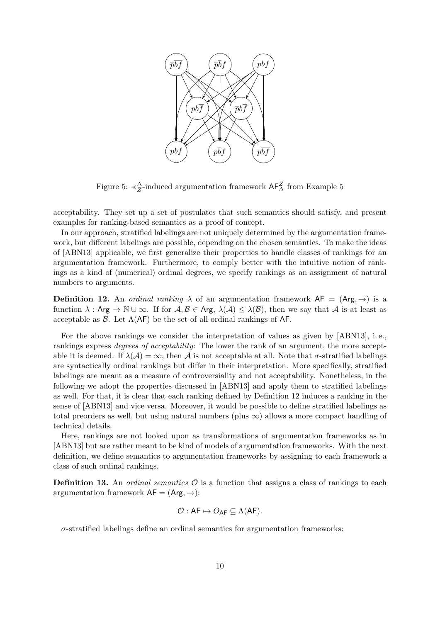

Figure 5:  $\prec_Z^{\Delta}$ -induced argumentation framework  $AF_{\Delta}^Z$  from Example 5

acceptability. They set up a set of postulates that such semantics should satisfy, and present examples for ranking-based semantics as a proof of concept.

In our approach, stratified labelings are not uniquely determined by the argumentation framework, but different labelings are possible, depending on the chosen semantics. To make the ideas of [ABN13] applicable, we first generalize their properties to handle classes of rankings for an argumentation framework. Furthermore, to comply better with the intuitive notion of rankings as a kind of (numerical) ordinal degrees, we specify rankings as an assignment of natural numbers to arguments.

**Definition 12.** An *ordinal ranking*  $\lambda$  of an argumentation framework  $AF = (Arg, \rightarrow)$  is a function  $\lambda$ : Arg  $\to \mathbb{N} \cup \infty$ . If for  $\mathcal{A}, \mathcal{B} \in \mathsf{Arg}, \lambda(\mathcal{A}) \leq \lambda(\mathcal{B})$ , then we say that  $\mathcal{A}$  is at least as acceptable as  $\beta$ . Let  $\Lambda$ (AF) be the set of all ordinal rankings of AF.

For the above rankings we consider the interpretation of values as given by [ABN13], i. e., rankings express *degrees of acceptability*: The lower the rank of an argument, the more acceptable it is deemed. If  $\lambda(\mathcal{A}) = \infty$ , then  $\mathcal{A}$  is not acceptable at all. Note that  $\sigma$ -stratified labelings are syntactically ordinal rankings but differ in their interpretation. More specifically, stratified labelings are meant as a measure of controversiality and not acceptability. Nonetheless, in the following we adopt the properties discussed in [ABN13] and apply them to stratified labelings as well. For that, it is clear that each ranking defined by Definition 12 induces a ranking in the sense of [ABN13] and vice versa. Moreover, it would be possible to define stratified labelings as total preorders as well, but using natural numbers (plus  $\infty$ ) allows a more compact handling of technical details.

Here, rankings are not looked upon as transformations of argumentation frameworks as in [ABN13] but are rather meant to be kind of models of argumentation frameworks. With the next definition, we define semantics to argumentation frameworks by assigning to each framework a class of such ordinal rankings.

**Definition 13.** An *ordinal semantics*  $\mathcal{O}$  is a function that assigns a class of rankings to each argumentation framework  $AF = (Arg, \rightarrow)$ :

$$
\mathcal{O}: \mathsf{AF} \mapsto O_{\mathsf{AF}} \subseteq \Lambda(\mathsf{AF}).
$$

 $\sigma$ -stratified labelings define an ordinal semantics for argumentation frameworks: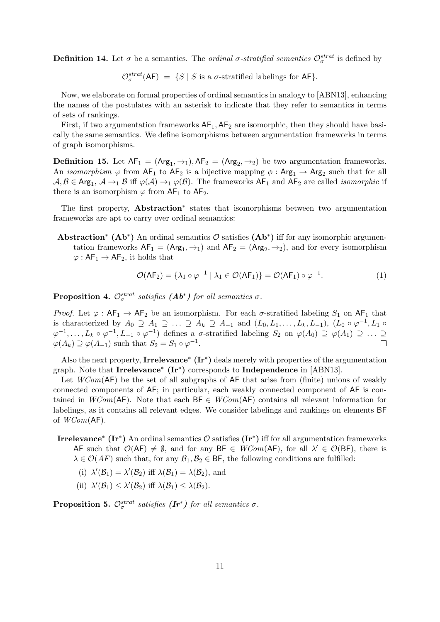**Definition 14.** Let  $\sigma$  be a semantics. The *ordinal*  $\sigma$ -stratified semantics  $\mathcal{O}^{strat}_{\sigma}$  is defined by

 $\mathcal{O}_{\sigma}^{strat}(\mathsf{AF}) = \{ S \mid S \text{ is a } \sigma\text{-stratified labelings for }\mathsf{AF} \}.$ 

Now, we elaborate on formal properties of ordinal semantics in analogy to [ABN13], enhancing the names of the postulates with an asterisk to indicate that they refer to semantics in terms of sets of rankings.

First, if two argumentation frameworks  $AF_1$ ,  $AF_2$  are isomorphic, then they should have basically the same semantics. We define isomorphisms between argumentation frameworks in terms of graph isomorphisms.

**Definition 15.** Let  $AF_1 = (Arg_1, \rightarrow_1), AF_2 = (Arg_2, \rightarrow_2)$  be two argumentation frameworks. An *isomorphism*  $\varphi$  from  $AF_1$  to  $AF_2$  is a bijective mapping  $\phi$  :  $Arg_1 \to Arg_2$  such that for all  $A, B \in \text{Arg}_1, A \to_1 B$  iff  $\varphi(A) \to_1 \varphi(B)$ . The frameworks  $\text{AF}_1$  and  $\text{AF}_2$  are called *isomorphic* if there is an isomorphism  $\varphi$  from AF<sub>1</sub> to AF<sub>2</sub>.

The first property, **Abstraction**<sup>\*</sup> states that isomorphisms between two argumentation frameworks are apt to carry over ordinal semantics:

Abstraction<sup>\*</sup> (Ab<sup>\*</sup>) An ordinal semantics  $\mathcal{O}$  satisfies (Ab<sup>\*</sup>) iff for any isomorphic argumentation frameworks  $AF_1 = (Arg_1, \rightarrow_1)$  and  $AF_2 = (Arg_2, \rightarrow_2)$ , and for every isomorphism  $\varphi: AF_1 \to AF_2$ , it holds that

$$
\mathcal{O}(\mathsf{AF}_2) = \{\lambda_1 \circ \varphi^{-1} \mid \lambda_1 \in \mathcal{O}(\mathsf{AF}_1)\} = \mathcal{O}(\mathsf{AF}_1) \circ \varphi^{-1}.\tag{1}
$$

**Proposition 4.**  $\mathcal{O}_{\sigma}^{strat}$  satisfies  $(\mathbf{A}\mathbf{b}^*)$  for all semantics  $\sigma$ .

Proof. Let  $\varphi : AF_1 \to AF_2$  be an isomorphism. For each  $\sigma$ -stratified labeling  $S_1$  on AF<sub>1</sub> that is characterized by  $A_0 \supseteq A_1 \supseteq \ldots \supseteq A_k \supseteq A_{-1}$  and  $(L_0, L_1, \ldots, L_k, L_{-1}), (L_0 \circ \varphi^{-1}, L_1 \circ$  $\varphi^{-1},\ldots,L_k \circ \varphi^{-1}, L_{-1} \circ \varphi^{-1}$  defines a  $\sigma$ -stratified labeling  $S_2$  on  $\varphi(A_0) \supseteq \varphi(A_1) \supseteq \ldots \supseteq$  $\varphi(A_k) \supseteq \varphi(A_{-1})$  such that  $S_2 = S_1 \circ \varphi^{-1}$ .

Also the next property, Irrelevance<sup>\*</sup> (Ir<sup>\*</sup>) deals merely with properties of the argumentation graph. Note that Irrelevance<sup>\*</sup> (Ir<sup>\*</sup>) corresponds to Independence in [ABN13].

Let  $WCom(\mathsf{AF})$  be the set of all subgraphs of  $\mathsf{AF}$  that arise from (finite) unions of weakly connected components of AF; in particular, each weakly connected component of AF is contained in WCom(AF). Note that each  $BF \in WCom(AF)$  contains all relevant information for labelings, as it contains all relevant edges. We consider labelings and rankings on elements BF of  $WCom({\sf AF})$ .

- **Irrelevance<sup>\*</sup>** (Ir<sup>\*</sup>) An ordinal semantics  $\mathcal{O}$  satisfies (Ir<sup>\*</sup>) iff for all argumentation frameworks AF such that  $\mathcal{O}(AF) \neq \emptyset$ , and for any BF  $\in WCom(AF)$ , for all  $\lambda' \in \mathcal{O}(BF)$ , there is  $\lambda \in \mathcal{O}(AF)$  such that, for any  $\mathcal{B}_1, \mathcal{B}_2 \in \mathsf{BF}$ , the following conditions are fulfilled:
	- (i)  $\lambda'(\mathcal{B}_1) = \lambda'(\mathcal{B}_2)$  iff  $\lambda(\mathcal{B}_1) = \lambda(\mathcal{B}_2)$ , and
	- (ii)  $\lambda'(\mathcal{B}_1) \leq \lambda'(\mathcal{B}_2)$  iff  $\lambda(\mathcal{B}_1) \leq \lambda(\mathcal{B}_2)$ .

**Proposition 5.**  $\mathcal{O}_{\sigma}^{strat}$  satisfies  $(\mathbf{Ir}^*)$  for all semantics  $\sigma$ .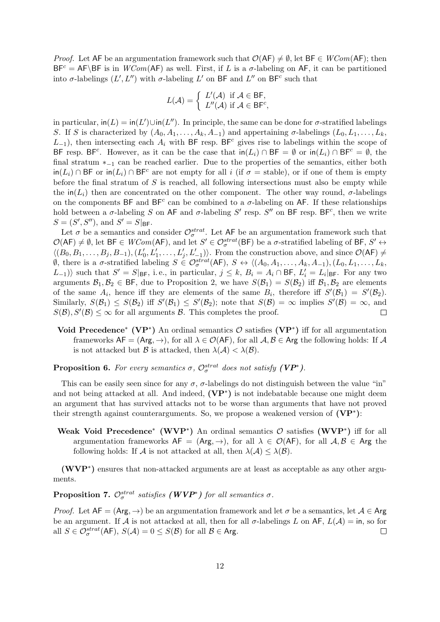*Proof.* Let AF be an argumentation framework such that  $\mathcal{O}(AF) \neq \emptyset$ , let BF  $\in WCom(AF)$ ; then  $BF<sup>c</sup> = AF\BF$  is in  $WCom(\AF)$  as well. First, if L is a  $\sigma$ -labeling on AF, it can be partitioned into  $\sigma$ -labelings  $(L', L'')$  with  $\sigma$ -labeling  $L'$  on BF and  $L''$  on BF<sup>c</sup> such that

$$
L(\mathcal{A}) = \begin{cases} L'(\mathcal{A}) & \text{if } \mathcal{A} \in \mathsf{BF}, \\ L''(\mathcal{A}) & \text{if } \mathcal{A} \in \mathsf{BF}^c, \end{cases}
$$

in particular,  $\text{in}(L) = \text{in}(L') \cup \text{in}(L'')$ . In principle, the same can be done for  $\sigma$ -stratified labelings S. If S is characterized by  $(A_0, A_1, \ldots, A_k, A_{-1})$  and appertaining  $\sigma$ -labelings  $(L_0, L_1, \ldots, L_k)$  $L_{-1}$ ), then intersecting each  $A_i$  with BF resp. BF<sup>c</sup> gives rise to labelings within the scope of BF resp. BF<sup>c</sup>. However, as it can be the case that  $\text{in}(L_i) \cap BF = \emptyset$  or  $\text{in}(L_i) \cap BF^c = \emptyset$ , the final stratum ∗−<sup>1</sup> can be reached earlier. Due to the properties of the semantics, either both  $\text{in}(L_i) \cap \text{BF}$  or  $\text{in}(L_i) \cap \text{BF}^c$  are not empty for all i (if  $\sigma = \text{stable}$ ), or if one of them is empty before the final stratum of  $S$  is reached, all following intersections must also be empty while the in( $L_i$ ) then are concentrated on the other component. The other way round,  $\sigma$ -labelings on the components BF and BF<sup>c</sup> can be combined to a  $\sigma$ -labeling on AF. If these relationships hold between a  $\sigma$ -labeling S on AF and  $\sigma$ -labeling S' resp. S'' on BF resp. BF<sup>c</sup>, then we write  $S = (S', S'')$ , and  $S' = S|_{\text{BF}}$ .

Let  $\sigma$  be a semantics and consider  $\mathcal{O}^{strat}_{\sigma}$ . Let AF be an argumentation framework such that  $\mathcal{O}(\mathsf{AF}) \neq \emptyset$ , let  $\mathsf{BF} \in WCom(\mathsf{AF})$ , and let  $S' \in \mathcal{O}^{strat}_{\sigma}(\mathsf{BF})$  be a  $\sigma$ -stratified labeling of  $\mathsf{BF}, S' \leftrightarrow$  $\langle (B_0, B_1, \ldots, B_j, B_{-1}), (L'_0, L'_1, \ldots, L'_j, L'_{-1}) \rangle$ . From the construction above, and since  $\mathcal{O}(\mathsf{AF}) \neq$  $\emptyset$ , there is a  $\sigma$ -stratified labeling  $S \in \mathcal{O}_{\sigma}^{strat}(\mathsf{AF})$ ,  $S \leftrightarrow \langle (A_0, A_1, \ldots, A_k, A_{-1}), (L_0, L_1, \ldots, L_k, A_{-1}) \rangle$  $(L_{-1})$  such that  $S' = S|_{BF}$ , i.e., in particular,  $j \leq k$ ,  $B_i = A_i \cap BF$ ,  $L'_i = L_i|_{BF}$ . For any two arguments  $\mathcal{B}_1, \mathcal{B}_2 \in \mathsf{BF}$ , due to Proposition 2, we have  $S(\mathcal{B}_1) = S(\mathcal{B}_2)$  iff  $\mathcal{B}_1, \mathcal{B}_2$  are elements of the same  $A_i$ , hence iff they are elements of the same  $B_i$ , therefore iff  $S'(\mathcal{B}_1) = S'(\mathcal{B}_2)$ . Similarly,  $S(\mathcal{B}_1) \leq S(\mathcal{B}_2)$  iff  $S'(\mathcal{B}_1) \leq S'(\mathcal{B}_2)$ ; note that  $S(\mathcal{B}) = \infty$  implies  $S'(\mathcal{B}) = \infty$ , and  $S(\mathcal{B}), S'(\mathcal{B}) \leq \infty$  for all arguments  $\mathcal{B}$ . This completes the proof.  $\Box$ 

Void Precedence<sup>\*</sup> (VP<sup>\*</sup>) An ordinal semantics  $\mathcal{O}$  satisfies (VP<sup>\*</sup>) iff for all argumentation frameworks  $AF = (Arg, \rightarrow)$ , for all  $\lambda \in \mathcal{O}(AF)$ , for all  $\mathcal{A}, \mathcal{B} \in \mathsf{Arg}$  the following holds: If  $\mathcal{A}$ is not attacked but B is attacked, then  $\lambda(\mathcal{A}) < \lambda(\mathcal{B})$ .

**Proposition 6.** For every semantics  $\sigma$ ,  $\mathcal{O}_{\sigma}^{strat}$  does not satisfy  $(VP^*)$ .

This can be easily seen since for any  $\sigma$ ,  $\sigma$ -labelings do not distinguish between the value "in" and not being attacked at all. And indeed,  $(VP^*)$  is not indebatable because one might deem an argument that has survived attacks not to be worse than arguments that have not proved their strength against counterarguments. So, we propose a weakened version of  $(VP^*)$ :

Weak Void Precedence<sup>\*</sup> (WVP<sup>\*</sup>) An ordinal semantics  $\mathcal{O}$  satisfies (WVP<sup>\*</sup>) iff for all argumentation frameworks  $AF = (Arg, \rightarrow)$ , for all  $\lambda \in \mathcal{O}(AF)$ , for all  $\mathcal{A}, \mathcal{B} \in \mathsf{Arg}$  the following holds: If A is not attacked at all, then  $\lambda(A) \leq \lambda(B)$ .

(WVP<sup>∗</sup> ) ensures that non-attacked arguments are at least as acceptable as any other arguments.

**Proposition 7.**  $\mathcal{O}_{\sigma}^{strat}$  satisfies  $(WVP^*)$  for all semantics  $\sigma$ .

*Proof.* Let  $AF = (Arg, \rightarrow)$  be an argumentation framework and let  $\sigma$  be a semantics, let  $A \in Arg$ be an argument. If A is not attacked at all, then for all  $\sigma$ -labelings L on AF,  $L(\mathcal{A}) = \text{in}$ , so for all  $S \in \mathcal{O}_{\sigma}^{strat}(\mathsf{AF}), S(\mathcal{A}) = 0 \leq S(\mathcal{B})$  for all  $\mathcal{B} \in \mathsf{Arg}.$  $\Box$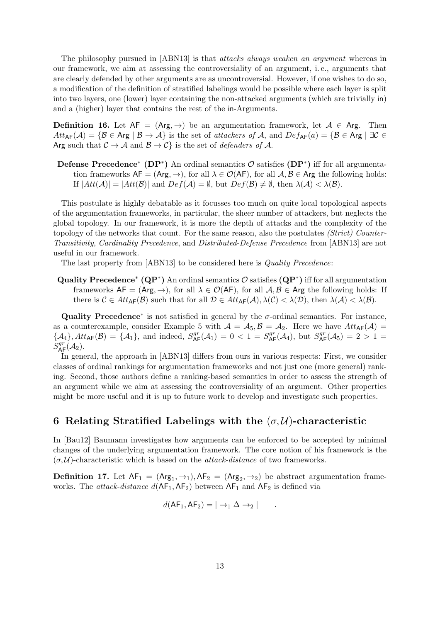The philosophy pursued in [ABN13] is that *attacks always weaken an argument* whereas in our framework, we aim at assessing the controversiality of an argument, i. e., arguments that are clearly defended by other arguments are as uncontroversial. However, if one wishes to do so, a modification of the definition of stratified labelings would be possible where each layer is split into two layers, one (lower) layer containing the non-attacked arguments (which are trivially in) and a (higher) layer that contains the rest of the in-Arguments.

**Definition 16.** Let  $AF = (Arg, \rightarrow)$  be an argumentation framework, let  $A \in Arg$ . Then  $Att_{\mathsf{AF}}(\mathcal{A}) = \{ \mathcal{B} \in \mathsf{Arg} \mid \mathcal{B} \to \mathcal{A} \}$  is the set of attackers of A, and  $Def_{\mathsf{AF}}(a) = \{ \mathcal{B} \in \mathsf{Arg} \mid \exists \mathcal{C} \in \mathcal{A} \}$ Arg such that  $C \to A$  and  $B \to C$  is the set of *defenders of A*.

Defense Precedence<sup>\*</sup> (DP<sup>\*</sup>) An ordinal semantics  $\mathcal{O}$  satisfies (DP<sup>\*</sup>) iff for all argumentation frameworks  $AF = (Arg, \rightarrow)$ , for all  $\lambda \in \mathcal{O}(AF)$ , for all  $\mathcal{A}, \mathcal{B} \in \mathsf{Arg}$  the following holds: If  $|Att(\mathcal{A})| = |Att(\mathcal{B})|$  and  $Def(\mathcal{A}) = \emptyset$ , but  $Def(\mathcal{B}) \neq \emptyset$ , then  $\lambda(\mathcal{A}) < \lambda(\mathcal{B})$ .

This postulate is highly debatable as it focusses too much on quite local topological aspects of the argumentation frameworks, in particular, the sheer number of attackers, but neglects the global topology. In our framework, it is more the depth of attacks and the complexity of the topology of the networks that count. For the same reason, also the postulates (Strict) Counter-Transitivity, Cardinality Precedence, and Distributed-Defense Precedence from [ABN13] are not useful in our framework.

The last property from [ABN13] to be considered here is Quality Precedence:

Quality Precedence<sup>\*</sup> (QP<sup>\*</sup>) An ordinal semantics  $\mathcal O$  satisfies (QP<sup>\*</sup>) iff for all argumentation frameworks  $AF = (Arg, \rightarrow)$ , for all  $\lambda \in \mathcal{O}(AF)$ , for all  $A, B \in Arg$  the following holds: If there is  $C \in Att_{AF}(\mathcal{B})$  such that for all  $\mathcal{D} \in Att_{AF}(\mathcal{A}), \lambda(\mathcal{C}) < \lambda(\mathcal{D})$ , then  $\lambda(\mathcal{A}) < \lambda(\mathcal{B})$ .

Quality Precedence<sup>\*</sup> is not satisfied in general by the  $\sigma$ -ordinal semantics. For instance, as a counterexample, consider Example 5 with  $A = A_5$ ,  $B = A_2$ . Here we have  $Att_{AF}(A)$  ${A_4}, Att_{AF}(\mathcal{B}) = {A_1},$  and indeed,  $S_{AF}^{gr}(\mathcal{A}_1) = 0 < 1 = S_{AF}^{gr}(\mathcal{A}_4)$ , but  $S_{AF}^{gr}(\mathcal{A}_5) = 2 > 1$  $S^{gr}_{\sf AF}(\mathcal{A}_2).$ 

In general, the approach in [ABN13] differs from ours in various respects: First, we consider classes of ordinal rankings for argumentation frameworks and not just one (more general) ranking. Second, those authors define a ranking-based semantics in order to assess the strength of an argument while we aim at assessing the controversiality of an argument. Other properties might be more useful and it is up to future work to develop and investigate such properties.

## 6 Relating Stratified Labelings with the  $(\sigma, \mathcal{U})$ -characteristic

In [Bau12] Baumann investigates how arguments can be enforced to be accepted by minimal changes of the underlying argumentation framework. The core notion of his framework is the  $(\sigma, \mathcal{U})$ -characteristic which is based on the *attack-distance* of two frameworks.

**Definition 17.** Let  $AF_1 = (Arg_1, \rightarrow_1), AF_2 = (Arg_2, \rightarrow_2)$  be abstract argumentation frameworks. The *attack-distance*  $d(\mathsf{AF}_1, \mathsf{AF}_2)$  between  $\mathsf{AF}_1$  and  $\mathsf{AF}_2$  is defined via

$$
d(\mathsf{AF}_1, \mathsf{AF}_2) = |\rightarrow_1 \Delta \rightarrow_2 | \qquad .
$$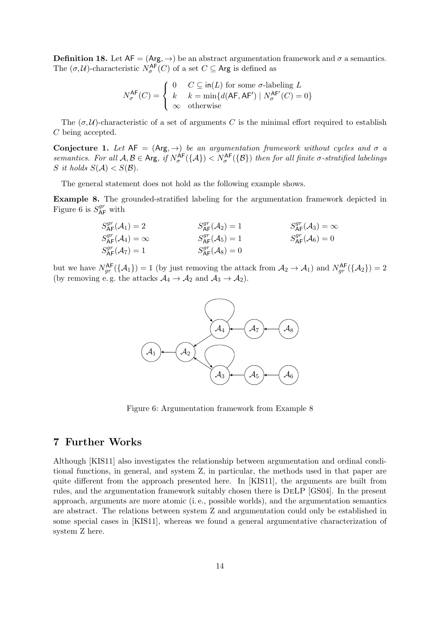**Definition 18.** Let  $AF = (Arg, \rightarrow)$  be an abstract argumentation framework and  $\sigma$  a semantics. The  $(\sigma, \mathcal{U})$ -characteristic  $N^{\mathsf{AF}}_{\sigma}(C)$  of a set  $C \subseteq \mathsf{Arg}$  is defined as

$$
N_{\sigma}^{\mathsf{AF}}(C) = \begin{cases} 0 & C \subseteq \mathsf{in}(L) \text{ for some } \sigma\text{-labeling } L \\ k & k = \min\{d(\mathsf{AF}, \mathsf{AF}') \mid N_{\sigma}^{\mathsf{AF}'}(C) = 0\} \\ \infty & \text{otherwise} \end{cases}
$$

The  $(\sigma, \mathcal{U})$ -characteristic of a set of arguments C is the minimal effort required to establish C being accepted.

Conjecture 1. Let  $AF = (Arg, \rightarrow)$  be an argumentation framework without cycles and  $\sigma$  a semantics. For all  $A, B \in \text{Arg}, \text{ if } N_{\sigma}^{\text{AF}}(\{A\}) < N_{\sigma}^{\text{AF}}(\{B\})$  then for all finite  $\sigma$ -stratified labelings S it holds  $S(\mathcal{A}) < S(\mathcal{B})$ .

The general statement does not hold as the following example shows.

Example 8. The grounded-stratified labeling for the argumentation framework depicted in Figure 6 is  $S_{\mathsf{AF}}^{gr}$  with

$$
S_{\mathsf{AF}}^{gr}(\mathcal{A}_1) = 2
$$
  
\n
$$
S_{\mathsf{AF}}^{gr}(\mathcal{A}_2) = 1
$$
  
\n
$$
S_{\mathsf{AF}}^{gr}(\mathcal{A}_3) = \infty
$$
  
\n
$$
S_{\mathsf{AF}}^{gr}(\mathcal{A}_4) = \infty
$$
  
\n
$$
S_{\mathsf{AF}}^{gr}(\mathcal{A}_5) = 1
$$
  
\n
$$
S_{\mathsf{AF}}^{gr}(\mathcal{A}_6) = 0
$$
  
\n
$$
S_{\mathsf{AF}}^{gr}(\mathcal{A}_7) = 1
$$
  
\n
$$
S_{\mathsf{AF}}^{gr}(\mathcal{A}_8) = 0
$$

but we have  $N_{gr}^{\mathsf{AF}}(\{\mathcal{A}_1\}) = 1$  (by just removing the attack from  $\mathcal{A}_2 \to \mathcal{A}_1$ ) and  $N_{gr}^{\mathsf{AF}}(\{\mathcal{A}_2\}) = 2$ (by removing e.g. the attacks  $A_4 \rightarrow A_2$  and  $A_3 \rightarrow A_2$ ).



Figure 6: Argumentation framework from Example 8

## 7 Further Works

Although [KIS11] also investigates the relationship between argumentation and ordinal conditional functions, in general, and system Z, in particular, the methods used in that paper are quite different from the approach presented here. In [KIS11], the arguments are built from rules, and the argumentation framework suitably chosen there is DeLP [GS04]. In the present approach, arguments are more atomic (i. e., possible worlds), and the argumentation semantics are abstract. The relations between system Z and argumentation could only be established in some special cases in [KIS11], whereas we found a general argumentative characterization of system Z here.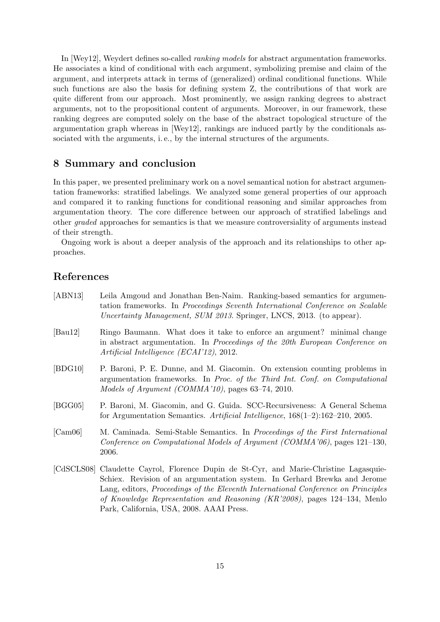In [Wey12], Weydert defines so-called ranking models for abstract argumentation frameworks. He associates a kind of conditional with each argument, symbolizing premise and claim of the argument, and interprets attack in terms of (generalized) ordinal conditional functions. While such functions are also the basis for defining system Z, the contributions of that work are quite different from our approach. Most prominently, we assign ranking degrees to abstract arguments, not to the propositional content of arguments. Moreover, in our framework, these ranking degrees are computed solely on the base of the abstract topological structure of the argumentation graph whereas in [Wey12], rankings are induced partly by the conditionals associated with the arguments, i. e., by the internal structures of the arguments.

### 8 Summary and conclusion

In this paper, we presented preliminary work on a novel semantical notion for abstract argumentation frameworks: stratified labelings. We analyzed some general properties of our approach and compared it to ranking functions for conditional reasoning and similar approaches from argumentation theory. The core difference between our approach of stratified labelings and other graded approaches for semantics is that we measure controversiality of arguments instead of their strength.

Ongoing work is about a deeper analysis of the approach and its relationships to other approaches.

## References

| [ABN13]                     | Leila Amgoud and Jonathan Ben-Naim. Ranking-based semantics for argumen-<br>tation frameworks. In Proceedings Seventh International Conference on Scalable<br>Uncertainty Management, SUM 2013. Springer, LNCS, 2013. (to appear).                                                                                                                                               |
|-----------------------------|----------------------------------------------------------------------------------------------------------------------------------------------------------------------------------------------------------------------------------------------------------------------------------------------------------------------------------------------------------------------------------|
| $\left[\text{Bau12}\right]$ | Ringo Baumann. What does it take to enforce an argument? minimal change<br>in abstract argumentation. In Proceedings of the 20th European Conference on<br>Artificial Intelligence (ECAI'12), 2012.                                                                                                                                                                              |
| [BDG10]                     | P. Baroni, P. E. Dunne, and M. Giacomin. On extension counting problems in<br>argumentation frameworks. In Proc. of the Third Int. Conf. on Computational<br>Models of Argument (COMMA'10), pages 63-74, 2010.                                                                                                                                                                   |
| [BGG05]                     | P. Baroni, M. Giacomin, and G. Guida. SCC-Recursiveness: A General Schema<br>for Argumentation Semantics. Artificial Intelligence, $168(1-2):162-210$ , 2005.                                                                                                                                                                                                                    |
| [Cam06]                     | M. Caminada. Semi-Stable Semantics. In Proceedings of the First International<br>Conference on Computational Models of Argument (COMMA'06), pages 121–130,<br>2006.                                                                                                                                                                                                              |
|                             | [CdSCLS08] Claudette Cayrol, Florence Dupin de St-Cyr, and Marie-Christine Lagasquie-<br>Schiex. Revision of an argumentation system. In Gerhard Brewka and Jerome<br>Lang, editors, Proceedings of the Eleventh International Conference on Principles<br>of Knowledge Representation and Reasoning (KR'2008), pages 124–134, Menlo<br>Park, California, USA, 2008. AAAI Press. |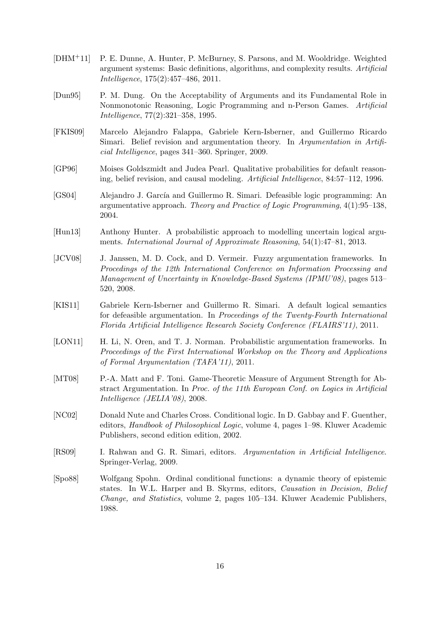- [DHM+11] P. E. Dunne, A. Hunter, P. McBurney, S. Parsons, and M. Wooldridge. Weighted argument systems: Basic definitions, algorithms, and complexity results. Artificial Intelligence, 175(2):457–486, 2011.
- [Dun95] P. M. Dung. On the Acceptability of Arguments and its Fundamental Role in Nonmonotonic Reasoning, Logic Programming and n-Person Games. Artificial Intelligence, 77(2):321–358, 1995.
- [FKIS09] Marcelo Alejandro Falappa, Gabriele Kern-Isberner, and Guillermo Ricardo Simari. Belief revision and argumentation theory. In Argumentation in Artificial Intelligence, pages 341–360. Springer, 2009.
- [GP96] Moises Goldszmidt and Judea Pearl. Qualitative probabilities for default reasoning, belief revision, and causal modeling. Artificial Intelligence, 84:57–112, 1996.
- [GS04] Alejandro J. García and Guillermo R. Simari. Defeasible logic programming: An argumentative approach. Theory and Practice of Logic Programming, 4(1):95–138, 2004.
- [Hun13] Anthony Hunter. A probabilistic approach to modelling uncertain logical arguments. International Journal of Approximate Reasoning, 54(1):47–81, 2013.
- [JCV08] J. Janssen, M. D. Cock, and D. Vermeir. Fuzzy argumentation frameworks. In Procedings of the 12th International Conference on Information Processing and Management of Uncertainty in Knowledge-Based Systems (IPMU'08), pages 513– 520, 2008.
- [KIS11] Gabriele Kern-Isberner and Guillermo R. Simari. A default logical semantics for defeasible argumentation. In Proceedings of the Twenty-Fourth International Florida Artificial Intelligence Research Society Conference (FLAIRS'11), 2011.
- [LON11] H. Li, N. Oren, and T. J. Norman. Probabilistic argumentation frameworks. In Proceedings of the First International Workshop on the Theory and Applications of Formal Argumentation (TAFA'11), 2011.
- [MT08] P.-A. Matt and F. Toni. Game-Theoretic Measure of Argument Strength for Abstract Argumentation. In Proc. of the 11th European Conf. on Logics in Artificial Intelligence (JELIA'08), 2008.
- [NC02] Donald Nute and Charles Cross. Conditional logic. In D. Gabbay and F. Guenther, editors, Handbook of Philosophical Logic, volume 4, pages 1–98. Kluwer Academic Publishers, second edition edition, 2002.
- [RS09] I. Rahwan and G. R. Simari, editors. Argumentation in Artificial Intelligence. Springer-Verlag, 2009.
- [Spo88] Wolfgang Spohn. Ordinal conditional functions: a dynamic theory of epistemic states. In W.L. Harper and B. Skyrms, editors, Causation in Decision, Belief Change, and Statistics, volume 2, pages 105–134. Kluwer Academic Publishers, 1988.